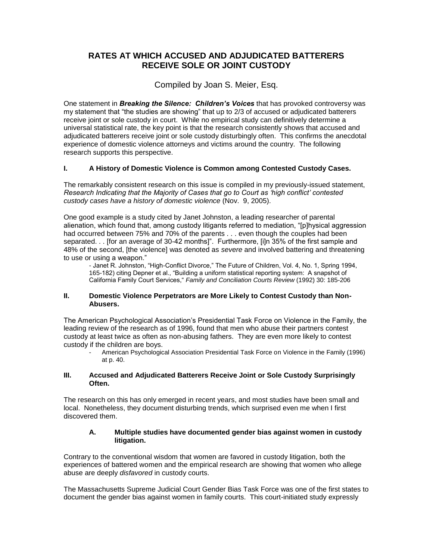# **RATES AT WHICH ACCUSED AND ADJUDICATED BATTERERS RECEIVE SOLE OR JOINT CUSTODY**

Compiled by Joan S. Meier, Esq.

One statement in *Breaking the Silence: Children's Voices* that has provoked controversy was my statement that "the studies are showing" that up to 2/3 of accused or adjudicated batterers receive joint or sole custody in court. While no empirical study can definitively determine a universal statistical rate, the key point is that the research consistently shows that accused and adjudicated batterers receive joint or sole custody disturbingly often. This confirms the anecdotal experience of domestic violence attorneys and victims around the country. The following research supports this perspective.

## **I. A History of Domestic Violence is Common among Contested Custody Cases.**

The remarkably consistent research on this issue is compiled in my previously-issued statement, *Research Indicating that the Majority of Cases that go to Court as 'high conflict' contested custody cases have a history of domestic violence* (Nov. 9, 2005).

One good example is a study cited by Janet Johnston, a leading researcher of parental alienation, which found that, among custody litigants referred to mediation, "[p]hysical aggression had occurred between 75% and 70% of the parents . . . even though the couples had been separated. . . [for an average of 30-42 months]". Furthermore, [i]n 35% of the first sample and 48% of the second, [the violence] was denoted as *severe* and involved battering and threatening to use or using a weapon."

- Janet R. Johnston, "High-Conflict Divorce," The Future of Children, Vol. 4, No. 1, Spring 1994, 165-182) citing Depner et al., "Building a uniform statistical reporting system: A snapshot of California Family Court Services," *Family and Conciliation Courts Review* (1992) 30: 185-206

#### **II. Domestic Violence Perpetrators are More Likely to Contest Custody than Non-Abusers.**

The American Psychological Association's Presidential Task Force on Violence in the Family, the leading review of the research as of 1996, found that men who abuse their partners contest custody at least twice as often as non-abusing fathers. They are even more likely to contest custody if the children are boys.

- American Psychological Association Presidential Task Force on Violence in the Family (1996) at p. 40.

#### **III. Accused and Adjudicated Batterers Receive Joint or Sole Custody Surprisingly Often.**

The research on this has only emerged in recent years, and most studies have been small and local. Nonetheless, they document disturbing trends, which surprised even me when I first discovered them.

### **A. Multiple studies have documented gender bias against women in custody litigation.**

Contrary to the conventional wisdom that women are favored in custody litigation, both the experiences of battered women and the empirical research are showing that women who allege abuse are deeply *disfavored* in custody courts.

The Massachusetts Supreme Judicial Court Gender Bias Task Force was one of the first states to document the gender bias against women in family courts. This court-initiated study expressly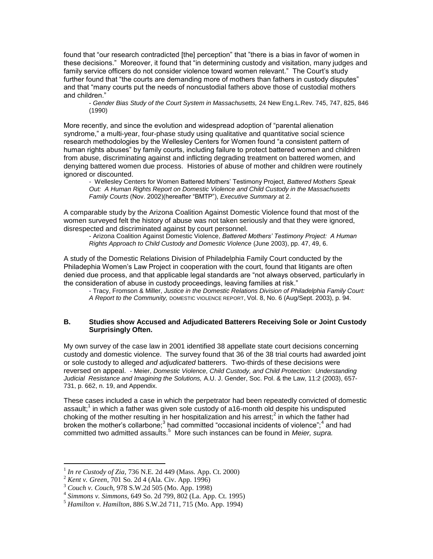found that "our research contradicted [the] perception" that "there is a bias in favor of women in these decisions." Moreover, it found that "in determining custody and visitation, many judges and family service officers do not consider violence toward women relevant." The Court's study further found that "the courts are demanding more of mothers than fathers in custody disputes" and that "many courts put the needs of noncustodial fathers above those of custodial mothers and children."

- *Gender Bias Study of the Court System in Massachusetts,* 24 New Eng.L.Rev. 745, 747, 825, 846 (1990)

More recently, and since the evolution and widespread adoption of "parental alienation syndrome," a multi-year, four-phase study using qualitative and quantitative social science research methodologies by the Wellesley Centers for Women found "a consistent pattern of human rights abuses" by family courts, including failure to protect battered women and children from abuse, discriminating against and inflicting degrading treatment on battered women, and denying battered women due process. Histories of abuse of mother and children were routinely ignored or discounted.

- Wellesley Centers for Women Battered Mothers' Testimony Project, *Battered Mothers Speak Out: A Human Rights Report on Domestic Violence and Child Custody in the Massachusetts Family Courts* (Nov. 2002)(hereafter "BMTP"), *Executive Summary* at 2.

A comparable study by the Arizona Coalition Against Domestic Violence found that most of the women surveyed felt the history of abuse was not taken seriously and that they were ignored, disrespected and discriminated against by court personnel.

- Arizona Coalition Against Domestic Violence, *Battered Mothers' Testimony Project: A Human Rights Approach to Child Custody and Domestic Violence* (June 2003), pp. 47, 49, 6.

A study of the Domestic Relations Division of Philadelphia Family Court conducted by the Philadephia Women's Law Project in cooperation with the court, found that litigants are often denied due process, and that applicable legal standards are "not always observed, particularly in the consideration of abuse in custody proceedings, leaving families at risk."

- Tracy, Fromson & Miller, *Justice in the Domestic Relations Division of Philadelphia Family Court: A Report to the Community,* DOMESTIC VIOLENCE REPORT, Vol. 8, No. 6 (Aug/Sept. 2003), p. 94.

#### **B. Studies show Accused and Adjudicated Batterers Receiving Sole or Joint Custody Surprisingly Often.**

My own survey of the case law in 2001 identified 38 appellate state court decisions concerning custody and domestic violence. The survey found that 36 of the 38 trial courts had awarded joint or sole custody to alleged *and adjudicated* batterers. Two-thirds of these decisions were reversed on appeal. - Meier, *Domestic Violence, Child Custody, and Child Protection: Understanding Judicial Resistance and Imagining the Solutions,* A.U. J. Gender, Soc. Pol. & the Law, 11:2 (2003), 657- 731, p. 662, n. 19, and Appendix.

These cases included a case in which the perpetrator had been repeatedly convicted of domestic assault; $^1$  in which a father was given sole custody of a16-month old despite his undisputed choking of the mother resulting in her hospitalization and his arrest;<sup>2</sup> in which the father had broken the mother's collarbone;<sup>3</sup> had committed "occasional incidents of violence";<sup>4</sup> and had committed two admitted assaults.<sup>5</sup> More such instances can be found in *Meier, supra.* 

 $\overline{a}$ 

<sup>1</sup> *In re Custody of Zia,* 736 N.E. 2d 449 (Mass. App. Ct. 2000)

<sup>2</sup> *Kent v. Green*, 701 So. 2d 4 (Ala. Civ. App. 1996)

<sup>3</sup> *Couch v. Couch,* 978 S.W.2d 505 (Mo. App. 1998)

<sup>4</sup> *Simmons v. Simmons*, 649 So. 2d 799, 802 (La. App. Ct. 1995)

<sup>5</sup> *Hamilton v. Hamilton*, 886 S.W.2d 711, 715 (Mo. App. 1994)